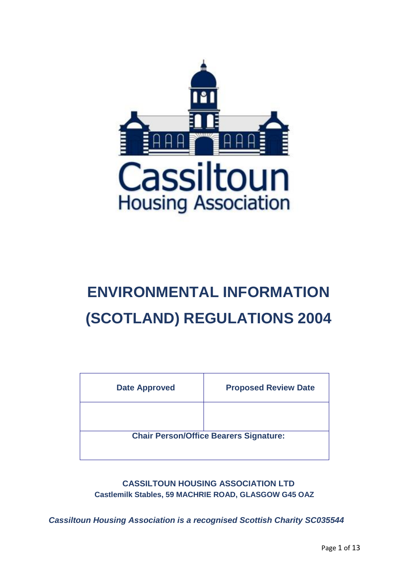<span id="page-0-0"></span>

# **ENVIRONMENTAL INFORMATION (SCOTLAND) REGULATIONS 2004**

| <b>Date Approved</b> | <b>Proposed Review Date</b>                   |
|----------------------|-----------------------------------------------|
|                      |                                               |
|                      | <b>Chair Person/Office Bearers Signature:</b> |

**CASSILTOUN HOUSING ASSOCIATION LTD Castlemilk Stables, 59 MACHRIE ROAD, GLASGOW G45 OAZ**

*Cassiltoun Housing Association is a recognised Scottish Charity SC035544*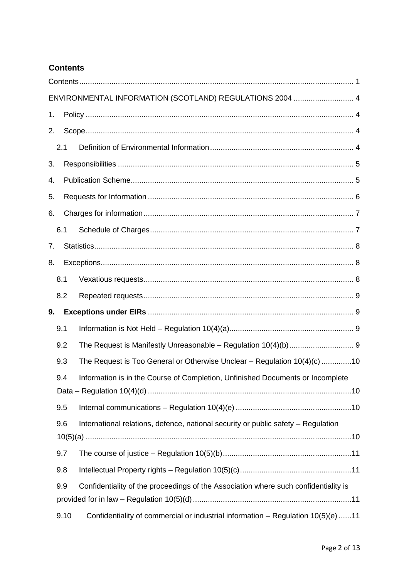# **Contents**

|    |      | ENVIRONMENTAL INFORMATION (SCOTLAND) REGULATIONS 2004  4                            |  |
|----|------|-------------------------------------------------------------------------------------|--|
| 1. |      |                                                                                     |  |
| 2. |      |                                                                                     |  |
|    | 2.1  |                                                                                     |  |
| 3. |      |                                                                                     |  |
| 4. |      |                                                                                     |  |
| 5. |      |                                                                                     |  |
| 6. |      |                                                                                     |  |
|    | 6.1  |                                                                                     |  |
| 7. |      |                                                                                     |  |
| 8. |      |                                                                                     |  |
|    | 8.1  |                                                                                     |  |
|    | 8.2  |                                                                                     |  |
| 9. |      |                                                                                     |  |
|    | 9.1  |                                                                                     |  |
|    | 9.2  |                                                                                     |  |
|    | 9.3  | The Request is Too General or Otherwise Unclear - Regulation 10(4)(c) 10            |  |
|    | 9.4  | Information is in the Course of Completion, Unfinished Documents or Incomplete      |  |
|    | 9.5  |                                                                                     |  |
|    | 9.6  | International relations, defence, national security or public safety - Regulation   |  |
|    | 9.7  |                                                                                     |  |
|    | 9.8  |                                                                                     |  |
|    | 9.9  | Confidentiality of the proceedings of the Association where such confidentiality is |  |
|    | 9.10 | Confidentiality of commercial or industrial information - Regulation 10(5)(e) 11    |  |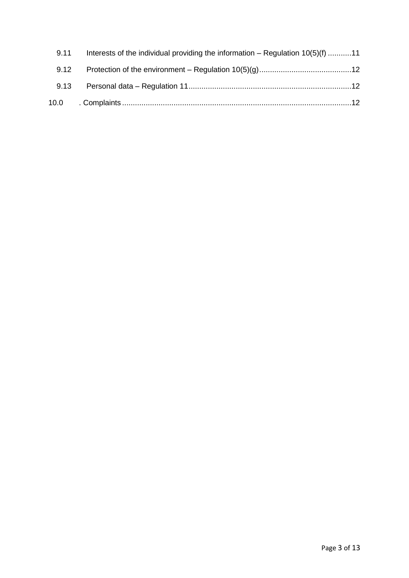| 9.11 | Interests of the individual providing the information $-$ Regulation $10(5)(f)$ 11 |
|------|------------------------------------------------------------------------------------|
|      |                                                                                    |
|      |                                                                                    |
|      |                                                                                    |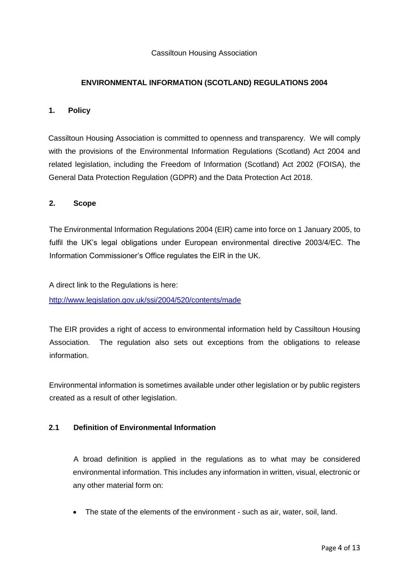#### <span id="page-3-0"></span>Cassiltoun Housing Association

## **ENVIRONMENTAL INFORMATION (SCOTLAND) REGULATIONS 2004**

#### <span id="page-3-1"></span>**1. Policy**

Cassiltoun Housing Association is committed to openness and transparency. We will comply with the provisions of the Environmental Information Regulations (Scotland) Act 2004 and related legislation, including the Freedom of Information (Scotland) Act 2002 (FOISA), the General Data Protection Regulation (GDPR) and the Data Protection Act 2018.

#### <span id="page-3-2"></span>**2. Scope**

The Environmental Information Regulations 2004 (EIR) came into force on 1 January 2005, to fulfil the UK's legal obligations under European environmental directive 2003/4/EC. The Information Commissioner's Office regulates the EIR in the UK.

A direct link to the Regulations is here:

<http://www.legislation.gov.uk/ssi/2004/520/contents/made>

The EIR provides a right of access to environmental information held by Cassiltoun Housing Association. The regulation also sets out exceptions from the obligations to release information.

Environmental information is sometimes available under other legislation or by public registers created as a result of other legislation.

### <span id="page-3-3"></span>**2.1 Definition of Environmental Information**

A broad definition is applied in the regulations as to what may be considered environmental information. This includes any information in written, visual, electronic or any other material form on:

• The state of the elements of the environment - such as air, water, soil, land.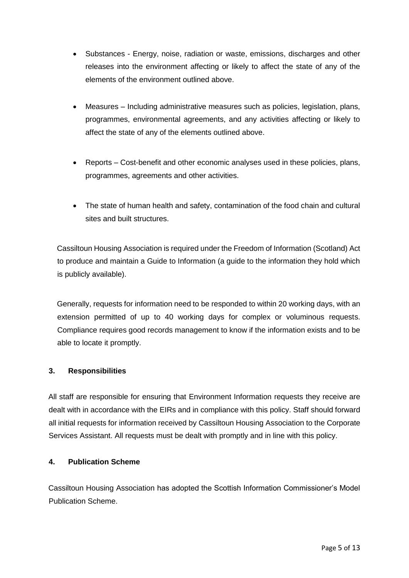- Substances Energy, noise, radiation or waste, emissions, discharges and other releases into the environment affecting or likely to affect the state of any of the elements of the environment outlined above.
- Measures Including administrative measures such as policies, legislation, plans, programmes, environmental agreements, and any activities affecting or likely to affect the state of any of the elements outlined above.
- Reports Cost-benefit and other economic analyses used in these policies, plans, programmes, agreements and other activities.
- The state of human health and safety, contamination of the food chain and cultural sites and built structures.

Cassiltoun Housing Association is required under the Freedom of Information (Scotland) Act to produce and maintain a Guide to Information (a guide to the information they hold which is publicly available).

Generally, requests for information need to be responded to within 20 working days, with an extension permitted of up to 40 working days for complex or voluminous requests. Compliance requires good records management to know if the information exists and to be able to locate it promptly.

# <span id="page-4-0"></span>**3. Responsibilities**

All staff are responsible for ensuring that Environment Information requests they receive are dealt with in accordance with the EIRs and in compliance with this policy. Staff should forward all initial requests for information received by Cassiltoun Housing Association to the Corporate Services Assistant. All requests must be dealt with promptly and in line with this policy.

# <span id="page-4-1"></span>**4. Publication Scheme**

Cassiltoun Housing Association has adopted the Scottish Information Commissioner's Model Publication Scheme.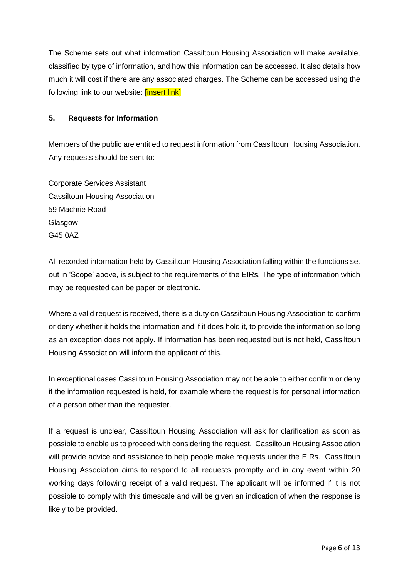The Scheme sets out what information Cassiltoun Housing Association will make available, classified by type of information, and how this information can be accessed. It also details how much it will cost if there are any associated charges. The Scheme can be accessed using the following link to our website: **[insert link]** 

# <span id="page-5-0"></span>**5. Requests for Information**

Members of the public are entitled to request information from Cassiltoun Housing Association. Any requests should be sent to:

Corporate Services Assistant Cassiltoun Housing Association 59 Machrie Road Glasgow G45 0AZ

All recorded information held by Cassiltoun Housing Association falling within the functions set out in 'Scope' above, is subject to the requirements of the EIRs. The type of information which may be requested can be paper or electronic.

Where a valid request is received, there is a duty on Cassiltoun Housing Association to confirm or deny whether it holds the information and if it does hold it, to provide the information so long as an exception does not apply. If information has been requested but is not held, Cassiltoun Housing Association will inform the applicant of this.

In exceptional cases Cassiltoun Housing Association may not be able to either confirm or deny if the information requested is held, for example where the request is for personal information of a person other than the requester.

If a request is unclear, Cassiltoun Housing Association will ask for clarification as soon as possible to enable us to proceed with considering the request. Cassiltoun Housing Association will provide advice and assistance to help people make requests under the EIRs. Cassiltoun Housing Association aims to respond to all requests promptly and in any event within 20 working days following receipt of a valid request. The applicant will be informed if it is not possible to comply with this timescale and will be given an indication of when the response is likely to be provided.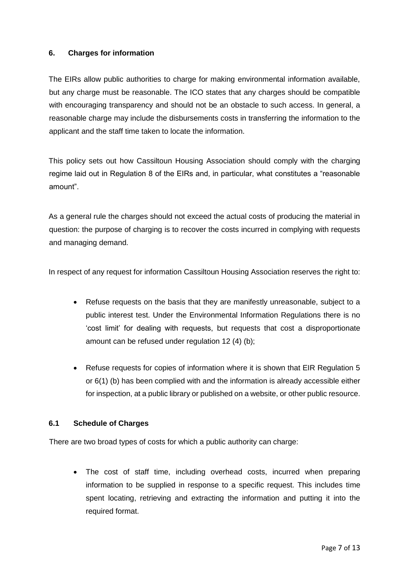# <span id="page-6-0"></span>**6. Charges for information**

The EIRs allow public authorities to charge for making environmental information available, but any charge must be reasonable. The ICO states that any charges should be compatible with encouraging transparency and should not be an obstacle to such access. In general, a reasonable charge may include the disbursements costs in transferring the information to the applicant and the staff time taken to locate the information.

This policy sets out how Cassiltoun Housing Association should comply with the charging regime laid out in Regulation 8 of the EIRs and, in particular, what constitutes a "reasonable amount".

As a general rule the charges should not exceed the actual costs of producing the material in question: the purpose of charging is to recover the costs incurred in complying with requests and managing demand.

In respect of any request for information Cassiltoun Housing Association reserves the right to:

- Refuse requests on the basis that they are manifestly unreasonable, subject to a public interest test. Under the Environmental Information Regulations there is no 'cost limit' for dealing with requests, but requests that cost a disproportionate amount can be refused under regulation 12 (4) (b);
- Refuse requests for copies of information where it is shown that EIR Regulation 5 or 6(1) (b) has been complied with and the information is already accessible either for inspection, at a public library or published on a website, or other public resource.

# <span id="page-6-1"></span>**6.1 Schedule of Charges**

There are two broad types of costs for which a public authority can charge:

• The cost of staff time, including overhead costs, incurred when preparing information to be supplied in response to a specific request. This includes time spent locating, retrieving and extracting the information and putting it into the required format.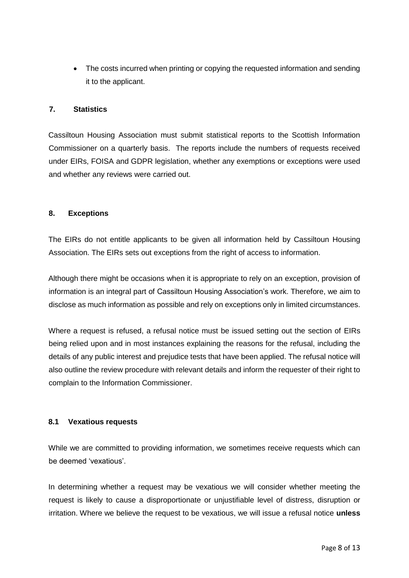• The costs incurred when printing or copying the requested information and sending it to the applicant.

#### <span id="page-7-0"></span>**7. Statistics**

Cassiltoun Housing Association must submit statistical reports to the Scottish Information Commissioner on a quarterly basis. The reports include the numbers of requests received under EIRs, FOISA and GDPR legislation, whether any exemptions or exceptions were used and whether any reviews were carried out.

#### <span id="page-7-1"></span>**8. Exceptions**

The EIRs do not entitle applicants to be given all information held by Cassiltoun Housing Association. The EIRs sets out exceptions from the right of access to information.

Although there might be occasions when it is appropriate to rely on an exception, provision of information is an integral part of Cassiltoun Housing Association's work. Therefore, we aim to disclose as much information as possible and rely on exceptions only in limited circumstances.

Where a request is refused, a refusal notice must be issued setting out the section of EIRs being relied upon and in most instances explaining the reasons for the refusal, including the details of any public interest and prejudice tests that have been applied. The refusal notice will also outline the review procedure with relevant details and inform the requester of their right to complain to the Information Commissioner.

#### <span id="page-7-2"></span>**8.1 Vexatious requests**

While we are committed to providing information, we sometimes receive requests which can be deemed 'vexatious'.

In determining whether a request may be vexatious we will consider whether meeting the request is likely to cause a disproportionate or unjustifiable level of distress, disruption or irritation. Where we believe the request to be vexatious, we will issue a refusal notice **unless**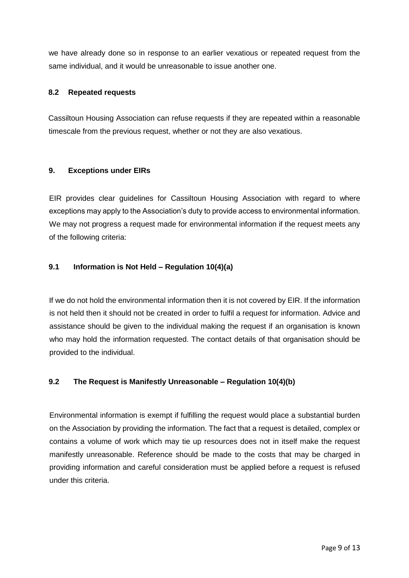we have already done so in response to an earlier vexatious or repeated request from the same individual, and it would be unreasonable to issue another one.

### <span id="page-8-0"></span>**8.2 Repeated requests**

Cassiltoun Housing Association can refuse requests if they are repeated within a reasonable timescale from the previous request, whether or not they are also vexatious.

### <span id="page-8-1"></span>**9. Exceptions under EIRs**

EIR provides clear guidelines for Cassiltoun Housing Association with regard to where exceptions may apply to the Association's duty to provide access to environmental information. We may not progress a request made for environmental information if the request meets any of the following criteria:

### <span id="page-8-2"></span>**9.1 Information is Not Held – Regulation 10(4)(a)**

If we do not hold the environmental information then it is not covered by EIR. If the information is not held then it should not be created in order to fulfil a request for information. Advice and assistance should be given to the individual making the request if an organisation is known who may hold the information requested. The contact details of that organisation should be provided to the individual.

# <span id="page-8-3"></span>**9.2 The Request is Manifestly Unreasonable – Regulation 10(4)(b)**

Environmental information is exempt if fulfilling the request would place a substantial burden on the Association by providing the information. The fact that a request is detailed, complex or contains a volume of work which may tie up resources does not in itself make the request manifestly unreasonable. Reference should be made to the costs that may be charged in providing information and careful consideration must be applied before a request is refused under this criteria.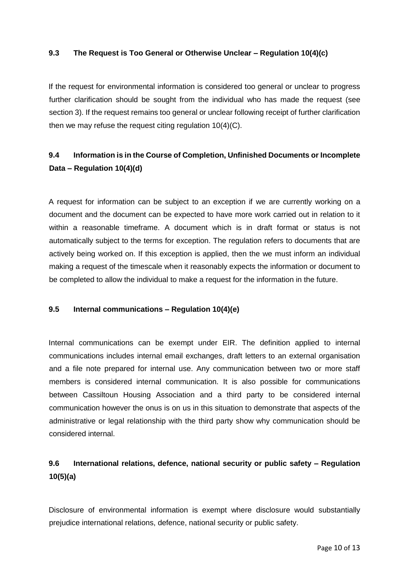#### <span id="page-9-0"></span>**9.3 The Request is Too General or Otherwise Unclear – Regulation 10(4)(c)**

If the request for environmental information is considered too general or unclear to progress further clarification should be sought from the individual who has made the request (see section 3). If the request remains too general or unclear following receipt of further clarification then we may refuse the request citing regulation 10(4)(C).

# <span id="page-9-1"></span>**9.4 Information is in the Course of Completion, Unfinished Documents or Incomplete Data – Regulation 10(4)(d)**

A request for information can be subject to an exception if we are currently working on a document and the document can be expected to have more work carried out in relation to it within a reasonable timeframe. A document which is in draft format or status is not automatically subject to the terms for exception. The regulation refers to documents that are actively being worked on. If this exception is applied, then the we must inform an individual making a request of the timescale when it reasonably expects the information or document to be completed to allow the individual to make a request for the information in the future.

#### <span id="page-9-2"></span>**9.5 Internal communications – Regulation 10(4)(e)**

Internal communications can be exempt under EIR. The definition applied to internal communications includes internal email exchanges, draft letters to an external organisation and a file note prepared for internal use. Any communication between two or more staff members is considered internal communication. It is also possible for communications between Cassiltoun Housing Association and a third party to be considered internal communication however the onus is on us in this situation to demonstrate that aspects of the administrative or legal relationship with the third party show why communication should be considered internal.

# <span id="page-9-3"></span>**9.6 International relations, defence, national security or public safety – Regulation 10(5)(a)**

Disclosure of environmental information is exempt where disclosure would substantially prejudice international relations, defence, national security or public safety.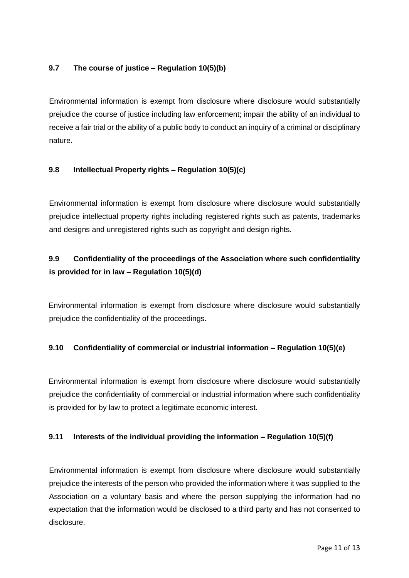# <span id="page-10-0"></span>**9.7 The course of justice – Regulation 10(5)(b)**

Environmental information is exempt from disclosure where disclosure would substantially prejudice the course of justice including law enforcement; impair the ability of an individual to receive a fair trial or the ability of a public body to conduct an inquiry of a criminal or disciplinary nature.

### <span id="page-10-1"></span>**9.8 Intellectual Property rights – Regulation 10(5)(c)**

Environmental information is exempt from disclosure where disclosure would substantially prejudice intellectual property rights including registered rights such as patents, trademarks and designs and unregistered rights such as copyright and design rights.

# <span id="page-10-2"></span>**9.9 Confidentiality of the proceedings of the Association where such confidentiality is provided for in law – Regulation 10(5)(d)**

Environmental information is exempt from disclosure where disclosure would substantially prejudice the confidentiality of the proceedings.

# <span id="page-10-3"></span>**9.10 Confidentiality of commercial or industrial information – Regulation 10(5)(e)**

Environmental information is exempt from disclosure where disclosure would substantially prejudice the confidentiality of commercial or industrial information where such confidentiality is provided for by law to protect a legitimate economic interest.

#### <span id="page-10-4"></span>**9.11 Interests of the individual providing the information – Regulation 10(5)(f)**

Environmental information is exempt from disclosure where disclosure would substantially prejudice the interests of the person who provided the information where it was supplied to the Association on a voluntary basis and where the person supplying the information had no expectation that the information would be disclosed to a third party and has not consented to disclosure.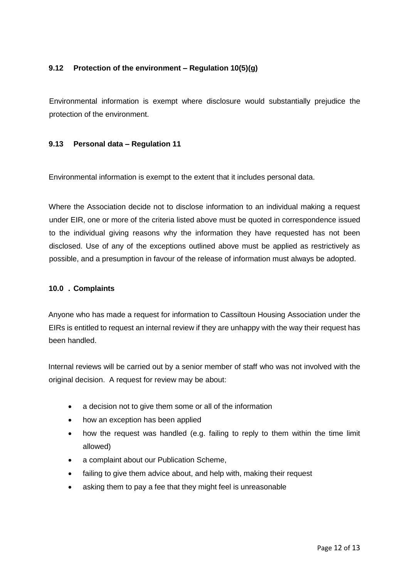# <span id="page-11-0"></span>**9.12 Protection of the environment – Regulation 10(5)(g)**

Environmental information is exempt where disclosure would substantially prejudice the protection of the environment.

#### <span id="page-11-1"></span>**9.13 Personal data – Regulation 11**

Environmental information is exempt to the extent that it includes personal data.

Where the Association decide not to disclose information to an individual making a request under EIR, one or more of the criteria listed above must be quoted in correspondence issued to the individual giving reasons why the information they have requested has not been disclosed. Use of any of the exceptions outlined above must be applied as restrictively as possible, and a presumption in favour of the release of information must always be adopted.

#### <span id="page-11-2"></span>**10.0 . Complaints**

Anyone who has made a request for information to Cassiltoun Housing Association under the EIRs is entitled to request an internal review if they are unhappy with the way their request has been handled.

Internal reviews will be carried out by a senior member of staff who was not involved with the original decision. A request for review may be about:

- a decision not to give them some or all of the information
- how an exception has been applied
- how the request was handled (e.g. failing to reply to them within the time limit allowed)
- a complaint about our Publication Scheme,
- failing to give them advice about, and help with, making their request
- asking them to pay a fee that they might feel is unreasonable